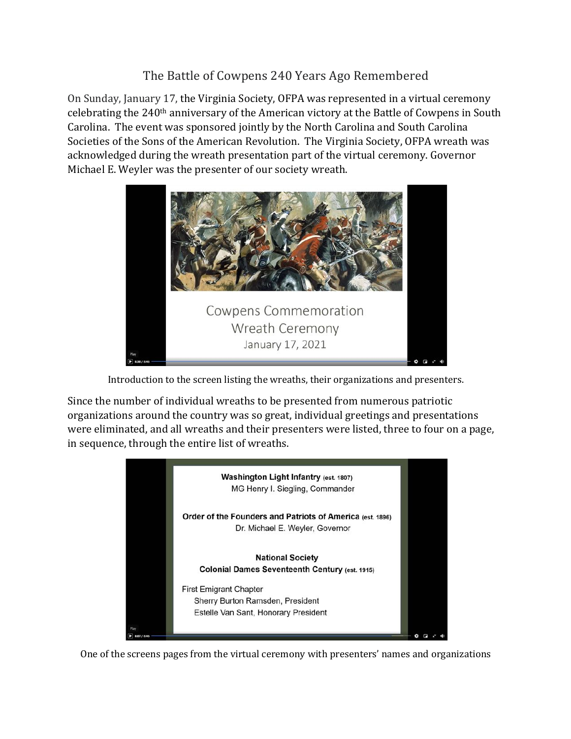The Battle of Cowpens 240 Years Ago Remembered

On Sunday, January 17, the Virginia Society, OFPA was represented in a virtual ceremony celebrating the 240<sup>th</sup> anniversary of the American victory at the Battle of Cowpens in South Carolina. The event was sponsored jointly by the North Carolina and South Carolina Societies of the Sons of the American Revolution. The Virginia Society, OFPA wreath was acknowledged during the wreath presentation part of the virtual ceremony. Governor Michael E. Weyler was the presenter of our society wreath.



Introduction to the screen listing the wreaths, their organizations and presenters.

Since the number of individual wreaths to be presented from numerous patriotic organizations around the country was so great, individual greetings and presentations were eliminated, and all wreaths and their presenters were listed, three to four on a page, in sequence, through the entire list of wreaths.



One of the screens pages from the virtual ceremony with presenters' names and organizations